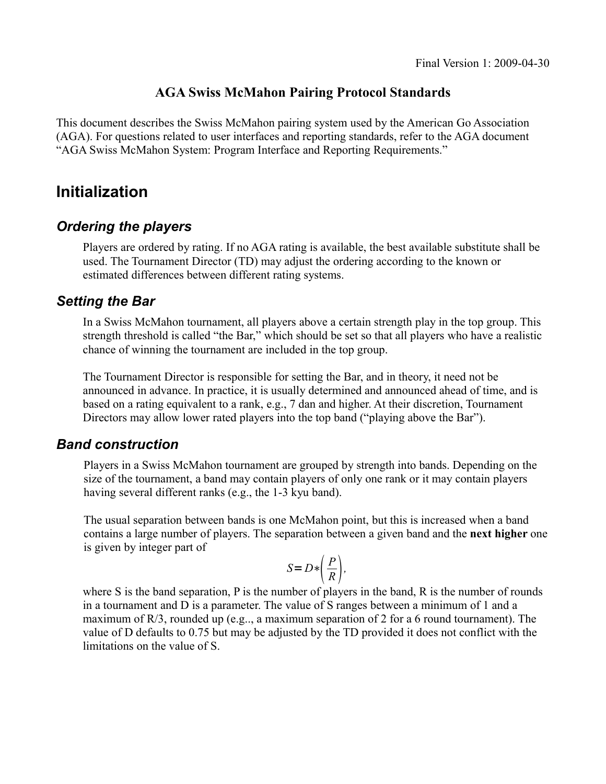### **AGA Swiss McMahon Pairing Protocol Standards**

This document describes the Swiss McMahon pairing system used by the American Go Association (AGA). For questions related to user interfaces and reporting standards, refer to the AGA document "AGA Swiss McMahon System: Program Interface and Reporting Requirements."

# **Initialization**

## *Ordering the players*

Players are ordered by rating. If no AGA rating is available, the best available substitute shall be used. The Tournament Director (TD) may adjust the ordering according to the known or estimated differences between different rating systems.

### *Setting the Bar*

In a Swiss McMahon tournament, all players above a certain strength play in the top group. This strength threshold is called "the Bar," which should be set so that all players who have a realistic chance of winning the tournament are included in the top group.

The Tournament Director is responsible for setting the Bar, and in theory, it need not be announced in advance. In practice, it is usually determined and announced ahead of time, and is based on a rating equivalent to a rank, e.g., 7 dan and higher. At their discretion, Tournament Directors may allow lower rated players into the top band ("playing above the Bar").

### *Band construction*

Players in a Swiss McMahon tournament are grouped by strength into bands. Depending on the size of the tournament, a band may contain players of only one rank or it may contain players having several different ranks (e.g., the 1-3 kyu band).

The usual separation between bands is one McMahon point, but this is increased when a band contains a large number of players. The separation between a given band and the **next higher** one is given by integer part of

$$
S = D * \left(\frac{P}{R}\right),
$$

where S is the band separation, P is the number of players in the band, R is the number of rounds in a tournament and D is a parameter. The value of S ranges between a minimum of 1 and a maximum of  $R/3$ , rounded up (e.g.., a maximum separation of 2 for a 6 round tournament). The value of D defaults to 0.75 but may be adjusted by the TD provided it does not conflict with the limitations on the value of S.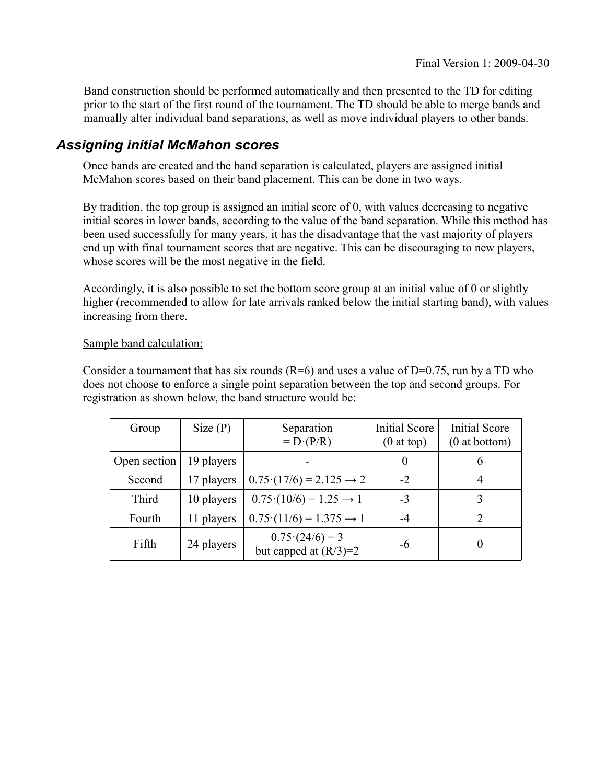Band construction should be performed automatically and then presented to the TD for editing prior to the start of the first round of the tournament. The TD should be able to merge bands and manually alter individual band separations, as well as move individual players to other bands.

### *Assigning initial McMahon scores*

Once bands are created and the band separation is calculated, players are assigned initial McMahon scores based on their band placement. This can be done in two ways.

By tradition, the top group is assigned an initial score of 0, with values decreasing to negative initial scores in lower bands, according to the value of the band separation. While this method has been used successfully for many years, it has the disadvantage that the vast majority of players end up with final tournament scores that are negative. This can be discouraging to new players, whose scores will be the most negative in the field.

Accordingly, it is also possible to set the bottom score group at an initial value of 0 or slightly higher (recommended to allow for late arrivals ranked below the initial starting band), with values increasing from there.

#### Sample band calculation:

Consider a tournament that has six rounds  $(R=6)$  and uses a value of D=0.75, run by a TD who does not choose to enforce a single point separation between the top and second groups. For registration as shown below, the band structure would be:

| Group        | Size(P)    | Separation<br>$= D \cdot (P/R)$                    | <b>Initial Score</b><br>$(0$ at top) | <b>Initial Score</b><br>$(0$ at bottom) |
|--------------|------------|----------------------------------------------------|--------------------------------------|-----------------------------------------|
| Open section | 19 players |                                                    | $\theta$                             | 6                                       |
| Second       | 17 players | $0.75(17/6) = 2.125 \rightarrow 2$                 | $-2$                                 |                                         |
| <b>Third</b> | 10 players | $0.75(10/6) = 1.25 \rightarrow 1$                  | $-3$                                 |                                         |
| Fourth       | 11 players | $0.75(11/6) = 1.375 \rightarrow 1$                 | -4                                   | $\mathcal{D}_{\mathcal{L}}$             |
| Fifth        | 24 players | $0.75 \cdot (24/6) = 3$<br>but capped at $(R/3)=2$ | -6                                   |                                         |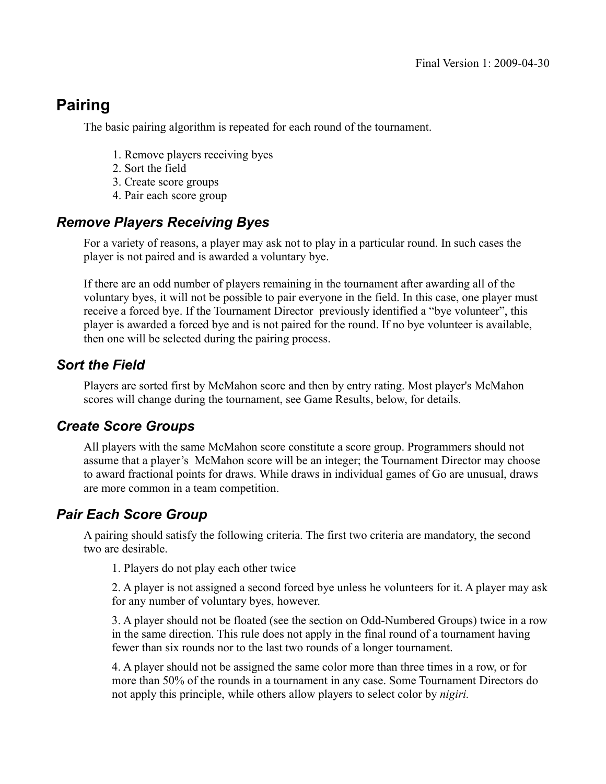# **Pairing**

The basic pairing algorithm is repeated for each round of the tournament.

- 1. Remove players receiving byes
- 2. Sort the field
- 3. Create score groups
- 4. Pair each score group

## *Remove Players Receiving Byes*

For a variety of reasons, a player may ask not to play in a particular round. In such cases the player is not paired and is awarded a voluntary bye.

If there are an odd number of players remaining in the tournament after awarding all of the voluntary byes, it will not be possible to pair everyone in the field. In this case, one player must receive a forced bye. If the Tournament Director previously identified a "bye volunteer", this player is awarded a forced bye and is not paired for the round. If no bye volunteer is available, then one will be selected during the pairing process.

### *Sort the Field*

Players are sorted first by McMahon score and then by entry rating. Most player's McMahon scores will change during the tournament, see Game Results, below, for details.

### *Create Score Groups*

All players with the same McMahon score constitute a score group. Programmers should not assume that a player's McMahon score will be an integer; the Tournament Director may choose to award fractional points for draws. While draws in individual games of Go are unusual, draws are more common in a team competition.

### *Pair Each Score Group*

A pairing should satisfy the following criteria. The first two criteria are mandatory, the second two are desirable.

1. Players do not play each other twice

2. A player is not assigned a second forced bye unless he volunteers for it. A player may ask for any number of voluntary byes, however.

3. A player should not be floated (see the section on Odd-Numbered Groups) twice in a row in the same direction. This rule does not apply in the final round of a tournament having fewer than six rounds nor to the last two rounds of a longer tournament.

4. A player should not be assigned the same color more than three times in a row, or for more than 50% of the rounds in a tournament in any case. Some Tournament Directors do not apply this principle, while others allow players to select color by *nigiri.*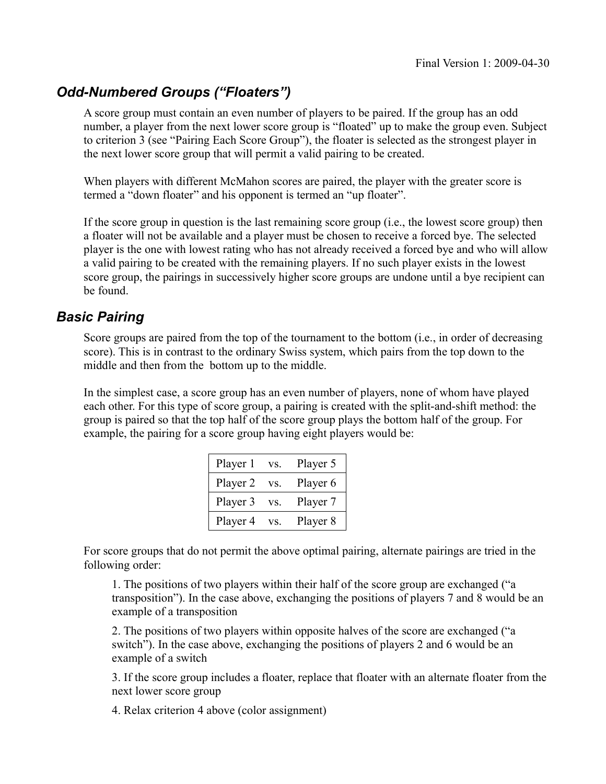## *Odd-Numbered Groups ("Floaters")*

A score group must contain an even number of players to be paired. If the group has an odd number, a player from the next lower score group is "floated" up to make the group even. Subject to criterion 3 (see "Pairing Each Score Group"), the floater is selected as the strongest player in the next lower score group that will permit a valid pairing to be created.

When players with different McMahon scores are paired, the player with the greater score is termed a "down floater" and his opponent is termed an "up floater".

If the score group in question is the last remaining score group (i.e., the lowest score group) then a floater will not be available and a player must be chosen to receive a forced bye. The selected player is the one with lowest rating who has not already received a forced bye and who will allow a valid pairing to be created with the remaining players. If no such player exists in the lowest score group, the pairings in successively higher score groups are undone until a bye recipient can be found.

### *Basic Pairing*

Score groups are paired from the top of the tournament to the bottom (i.e., in order of decreasing score). This is in contrast to the ordinary Swiss system, which pairs from the top down to the middle and then from the bottom up to the middle.

In the simplest case, a score group has an even number of players, none of whom have played each other. For this type of score group, a pairing is created with the split-and-shift method: the group is paired so that the top half of the score group plays the bottom half of the group. For example, the pairing for a score group having eight players would be:

| Player 1 | VS. | Player 5 |
|----------|-----|----------|
| Player 2 | VS. | Player 6 |
| Player 3 | VS. | Player 7 |
| Player 4 | VS. | Player 8 |

For score groups that do not permit the above optimal pairing, alternate pairings are tried in the following order:

1. The positions of two players within their half of the score group are exchanged ("a transposition"). In the case above, exchanging the positions of players 7 and 8 would be an example of a transposition

2. The positions of two players within opposite halves of the score are exchanged ("a switch"). In the case above, exchanging the positions of players 2 and 6 would be an example of a switch

3. If the score group includes a floater, replace that floater with an alternate floater from the next lower score group

4. Relax criterion 4 above (color assignment)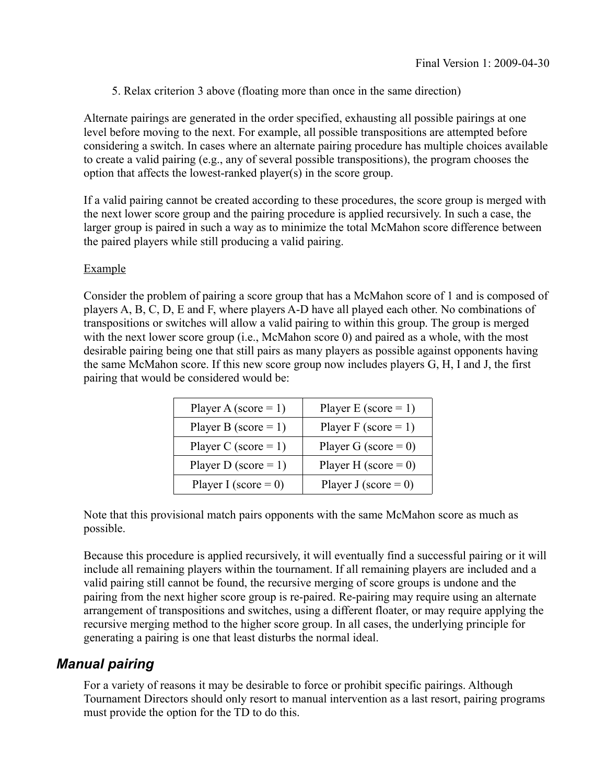5. Relax criterion 3 above (floating more than once in the same direction)

Alternate pairings are generated in the order specified, exhausting all possible pairings at one level before moving to the next. For example, all possible transpositions are attempted before considering a switch. In cases where an alternate pairing procedure has multiple choices available to create a valid pairing (e.g., any of several possible transpositions), the program chooses the option that affects the lowest-ranked player(s) in the score group.

If a valid pairing cannot be created according to these procedures, the score group is merged with the next lower score group and the pairing procedure is applied recursively. In such a case, the larger group is paired in such a way as to minimize the total McMahon score difference between the paired players while still producing a valid pairing.

### Example

Consider the problem of pairing a score group that has a McMahon score of 1 and is composed of players A, B, C, D, E and F, where players A-D have all played each other. No combinations of transpositions or switches will allow a valid pairing to within this group. The group is merged with the next lower score group (i.e., McMahon score 0) and paired as a whole, with the most desirable pairing being one that still pairs as many players as possible against opponents having the same McMahon score. If this new score group now includes players G, H, I and J, the first pairing that would be considered would be:

| Player A (score = 1)    | Player E (score = $1$ ) |
|-------------------------|-------------------------|
| Player B (score = $1$ ) | Player F (score = 1)    |
| Player C (score = 1)    | Player G (score = 0)    |
| Player D (score = 1)    | Player H (score = 0)    |
| Player I (score = 0)    | Player J (score = 0)    |

Note that this provisional match pairs opponents with the same McMahon score as much as possible.

Because this procedure is applied recursively, it will eventually find a successful pairing or it will include all remaining players within the tournament. If all remaining players are included and a valid pairing still cannot be found, the recursive merging of score groups is undone and the pairing from the next higher score group is re-paired. Re-pairing may require using an alternate arrangement of transpositions and switches, using a different floater, or may require applying the recursive merging method to the higher score group. In all cases, the underlying principle for generating a pairing is one that least disturbs the normal ideal.

### *Manual pairing*

For a variety of reasons it may be desirable to force or prohibit specific pairings. Although Tournament Directors should only resort to manual intervention as a last resort, pairing programs must provide the option for the TD to do this.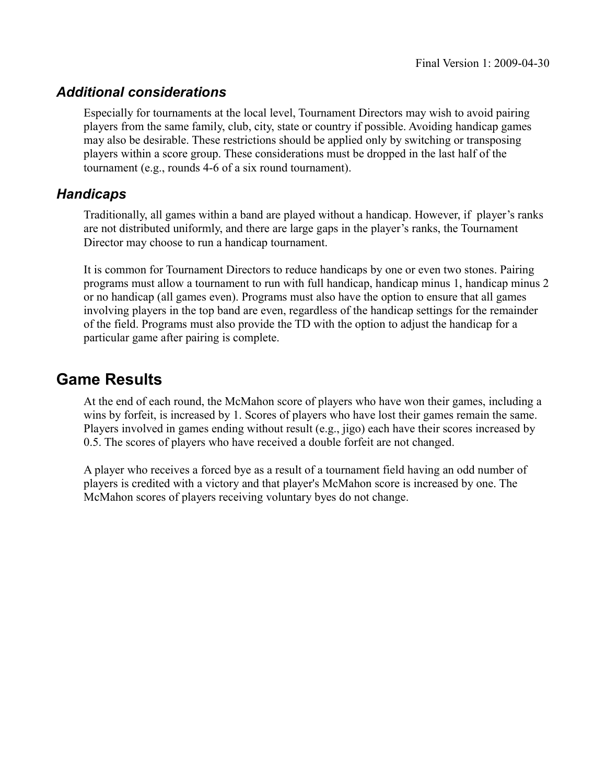## *Additional considerations*

Especially for tournaments at the local level, Tournament Directors may wish to avoid pairing players from the same family, club, city, state or country if possible. Avoiding handicap games may also be desirable. These restrictions should be applied only by switching or transposing players within a score group. These considerations must be dropped in the last half of the tournament (e.g., rounds 4-6 of a six round tournament).

## *Handicaps*

Traditionally, all games within a band are played without a handicap. However, if player's ranks are not distributed uniformly, and there are large gaps in the player's ranks, the Tournament Director may choose to run a handicap tournament.

It is common for Tournament Directors to reduce handicaps by one or even two stones. Pairing programs must allow a tournament to run with full handicap, handicap minus 1, handicap minus 2 or no handicap (all games even). Programs must also have the option to ensure that all games involving players in the top band are even, regardless of the handicap settings for the remainder of the field. Programs must also provide the TD with the option to adjust the handicap for a particular game after pairing is complete.

# **Game Results**

At the end of each round, the McMahon score of players who have won their games, including a wins by forfeit, is increased by 1. Scores of players who have lost their games remain the same. Players involved in games ending without result (e.g., jigo) each have their scores increased by 0.5. The scores of players who have received a double forfeit are not changed.

A player who receives a forced bye as a result of a tournament field having an odd number of players is credited with a victory and that player's McMahon score is increased by one. The McMahon scores of players receiving voluntary byes do not change.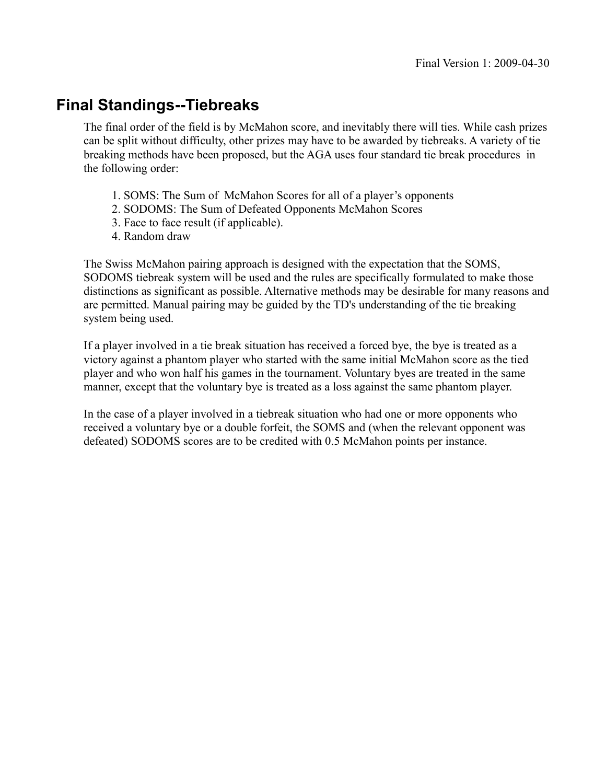# **Final Standings--Tiebreaks**

The final order of the field is by McMahon score, and inevitably there will ties. While cash prizes can be split without difficulty, other prizes may have to be awarded by tiebreaks. A variety of tie breaking methods have been proposed, but the AGA uses four standard tie break procedures in the following order:

- 1. SOMS: The Sum of McMahon Scores for all of a player's opponents
- 2. SODOMS: The Sum of Defeated Opponents McMahon Scores
- 3. Face to face result (if applicable).
- 4. Random draw

The Swiss McMahon pairing approach is designed with the expectation that the SOMS, SODOMS tiebreak system will be used and the rules are specifically formulated to make those distinctions as significant as possible. Alternative methods may be desirable for many reasons and are permitted. Manual pairing may be guided by the TD's understanding of the tie breaking system being used.

If a player involved in a tie break situation has received a forced bye, the bye is treated as a victory against a phantom player who started with the same initial McMahon score as the tied player and who won half his games in the tournament. Voluntary byes are treated in the same manner, except that the voluntary bye is treated as a loss against the same phantom player.

In the case of a player involved in a tiebreak situation who had one or more opponents who received a voluntary bye or a double forfeit, the SOMS and (when the relevant opponent was defeated) SODOMS scores are to be credited with 0.5 McMahon points per instance.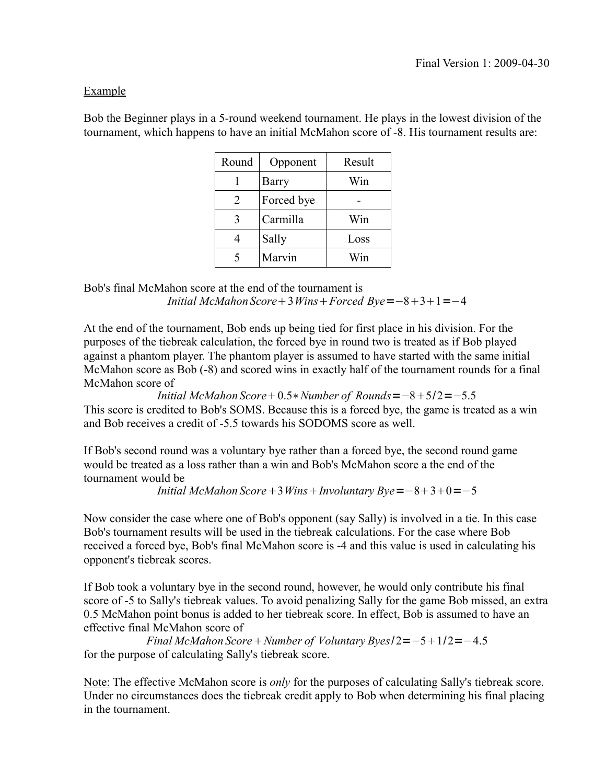### Example

Bob the Beginner plays in a 5-round weekend tournament. He plays in the lowest division of the tournament, which happens to have an initial McMahon score of -8. His tournament results are:

| Round | Opponent   | Result          |
|-------|------------|-----------------|
|       | Barry      | Win             |
| 2     | Forced bye |                 |
| 3     | Carmilla   | Win             |
|       | Sally      | Loss            |
|       | Marvin     | $W_{\text{1D}}$ |

Bob's final McMahon score at the end of the tournament is *Initial McMahon Score* + 3*Wins* + *Forced*  $Bye = -8+3+1 = -4$ 

At the end of the tournament, Bob ends up being tied for first place in his division. For the purposes of the tiebreak calculation, the forced bye in round two is treated as if Bob played against a phantom player. The phantom player is assumed to have started with the same initial McMahon score as Bob (-8) and scored wins in exactly half of the tournament rounds for a final McMahon score of

*Initial McMahon Score* +  $0.5*$ *Number of Rounds* =  $-8+5/2$  =  $-5.5$ This score is credited to Bob's SOMS. Because this is a forced bye, the game is treated as a win and Bob receives a credit of -5.5 towards his SODOMS score as well.

If Bob's second round was a voluntary bye rather than a forced bye, the second round game would be treated as a loss rather than a win and Bob's McMahon score a the end of the tournament would be

*Initial McMahon Score* + 3*Wins* + *Involuntary*  $Bye = -8+3+0=-5$ 

Now consider the case where one of Bob's opponent (say Sally) is involved in a tie. In this case Bob's tournament results will be used in the tiebreak calculations. For the case where Bob received a forced bye, Bob's final McMahon score is -4 and this value is used in calculating his opponent's tiebreak scores.

If Bob took a voluntary bye in the second round, however, he would only contribute his final score of -5 to Sally's tiebreak values. To avoid penalizing Sally for the game Bob missed, an extra 0.5 McMahon point bonus is added to her tiebreak score. In effect, Bob is assumed to have an effective final McMahon score of

*Final McMahon Score* + *Number of Voluntary Byes* $/2 = -5 + 1/2 = -4.5$ for the purpose of calculating Sally's tiebreak score.

Note: The effective McMahon score is *only* for the purposes of calculating Sally's tiebreak score. Under no circumstances does the tiebreak credit apply to Bob when determining his final placing in the tournament.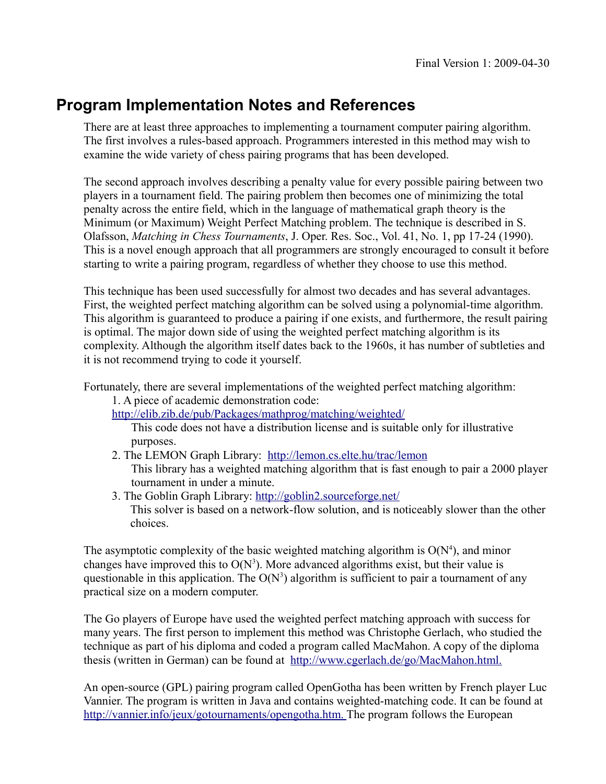# **Program Implementation Notes and References**

There are at least three approaches to implementing a tournament computer pairing algorithm. The first involves a rules-based approach. Programmers interested in this method may wish to examine the wide variety of chess pairing programs that has been developed.

The second approach involves describing a penalty value for every possible pairing between two players in a tournament field. The pairing problem then becomes one of minimizing the total penalty across the entire field, which in the language of mathematical graph theory is the Minimum (or Maximum) Weight Perfect Matching problem. The technique is described in S. Olafsson, *Matching in Chess Tournaments*, J. Oper. Res. Soc., Vol. 41, No. 1, pp 17-24 (1990). This is a novel enough approach that all programmers are strongly encouraged to consult it before starting to write a pairing program, regardless of whether they choose to use this method.

This technique has been used successfully for almost two decades and has several advantages. First, the weighted perfect matching algorithm can be solved using a polynomial-time algorithm. This algorithm is guaranteed to produce a pairing if one exists, and furthermore, the result pairing is optimal. The major down side of using the weighted perfect matching algorithm is its complexity. Although the algorithm itself dates back to the 1960s, it has number of subtleties and it is not recommend trying to code it yourself.

Fortunately, there are several implementations of the weighted perfect matching algorithm:

1. A piece of academic demonstration code:

<http://elib.zib.de/pub/Packages/mathprog/matching/weighted/>

This code does not have a distribution license and is suitable only for illustrative purposes.

2. The LEMON Graph Library: <http://lemon.cs.elte.hu/trac/lemon>

This library has a weighted matching algorithm that is fast enough to pair a 2000 player tournament in under a minute.

3. The Goblin Graph Library:<http://goblin2.sourceforge.net/> This solver is based on a network-flow solution, and is noticeably slower than the other choices.

The asymptotic complexity of the basic weighted matching algorithm is  $O(N<sup>4</sup>)$ , and minor changes have improved this to  $O(N^3)$ . More advanced algorithms exist, but their value is questionable in this application. The  $O(N^3)$  algorithm is sufficient to pair a tournament of any practical size on a modern computer.

The Go players of Europe have used the weighted perfect matching approach with success for many years. The first person to implement this method was Christophe Gerlach, who studied the technique as part of his diploma and coded a program called MacMahon. A copy of the diploma thesis (written in German) can be found at [http://www.cgerlach.de/go/MacMahon.html.](http://www.cgerlach.de/go/macmahon.html)

An open-source (GPL) pairing program called OpenGotha has been written by French player Luc Vannier. The program is written in Java and contains weighted-matching code. It can be found at http://vannier.info/jeux/gotournaments/opengotha.htm. The program follows the European